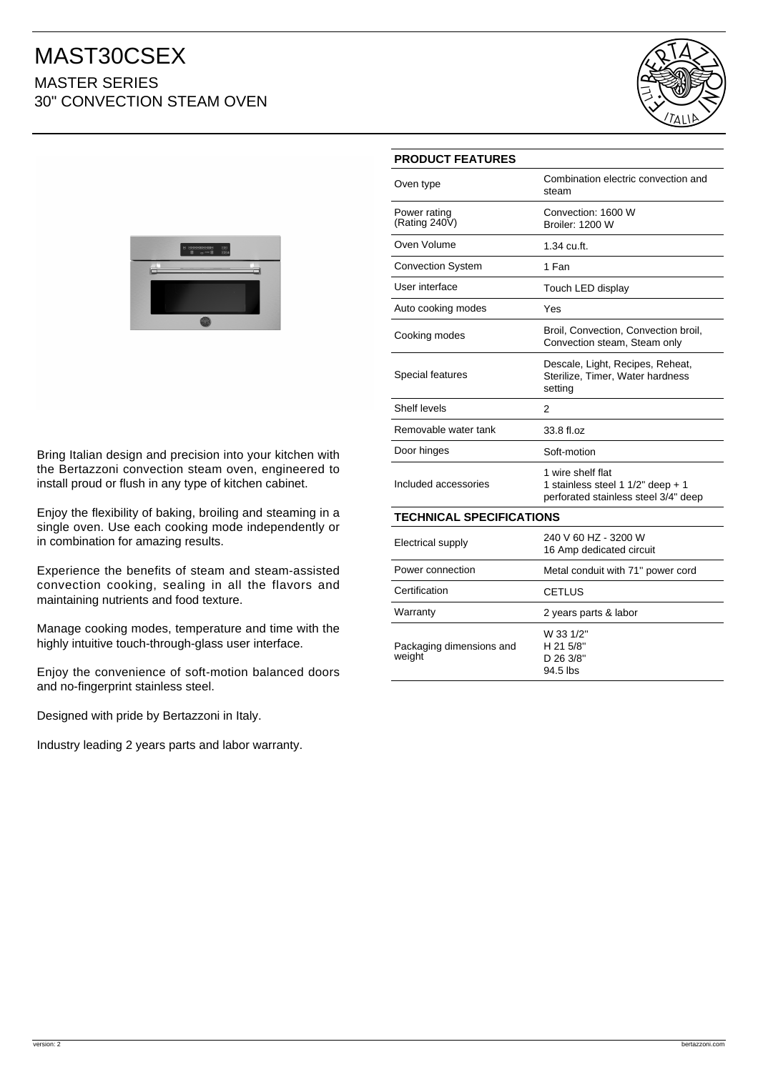## MAST30CSEX MASTER SERIES 30" CONVECTION STEAM OVEN





Bring Italian design and precision into your kitchen with the Bertazzoni convection steam oven, engineered to install proud or flush in any type of kitchen cabinet.

Enjoy the flexibility of baking, broiling and steaming in a single oven. Use each cooking mode independently or in combination for amazing results.

Experience the benefits of steam and steam-assisted convection cooking, sealing in all the flavors and maintaining nutrients and food texture.

Manage cooking modes, temperature and time with the highly intuitive touch-through-glass user interface.

Enjoy the convenience of soft-motion balanced doors and no-fingerprint stainless steel.

Designed with pride by Bertazzoni in Italy.

Industry leading 2 years parts and labor warranty.

| <b>PRODUCT FEATURES</b>            |                                                                                                |
|------------------------------------|------------------------------------------------------------------------------------------------|
| Oven type                          | Combination electric convection and<br>steam                                                   |
| Power rating<br>(Rating 240 $V$ )  | Convection: 1600 W<br><b>Broiler: 1200 W</b>                                                   |
| Oven Volume                        | 1.34 cu.ft.                                                                                    |
| <b>Convection System</b>           | 1 Fan                                                                                          |
| User interface                     | Touch LED display                                                                              |
| Auto cooking modes                 | Yes                                                                                            |
| Cooking modes                      | Broil, Convection, Convection broil,<br>Convection steam, Steam only                           |
| Special features                   | Descale, Light, Recipes, Reheat,<br>Sterilize, Timer, Water hardness<br>setting                |
| Shelf levels                       | 2                                                                                              |
| Removable water tank               | 33.8 fl.oz                                                                                     |
| Door hinges                        | Soft-motion                                                                                    |
| Included accessories               | 1 wire shelf flat<br>1 stainless steel 1 1/2" deep + 1<br>perforated stainless steel 3/4" deep |
| <b>TECHNICAL SPECIFICATIONS</b>    |                                                                                                |
| <b>Electrical supply</b>           | 240 V 60 HZ - 3200 W<br>16 Amp dedicated circuit                                               |
| Power connection                   | Metal conduit with 71" power cord                                                              |
| Certification                      | <b>CETLUS</b>                                                                                  |
| Warranty                           | 2 years parts & labor                                                                          |
| Packaging dimensions and<br>weight | W 33 1/2"<br>H 21 5/8"<br>D 26 3/8"                                                            |

94.5 lbs